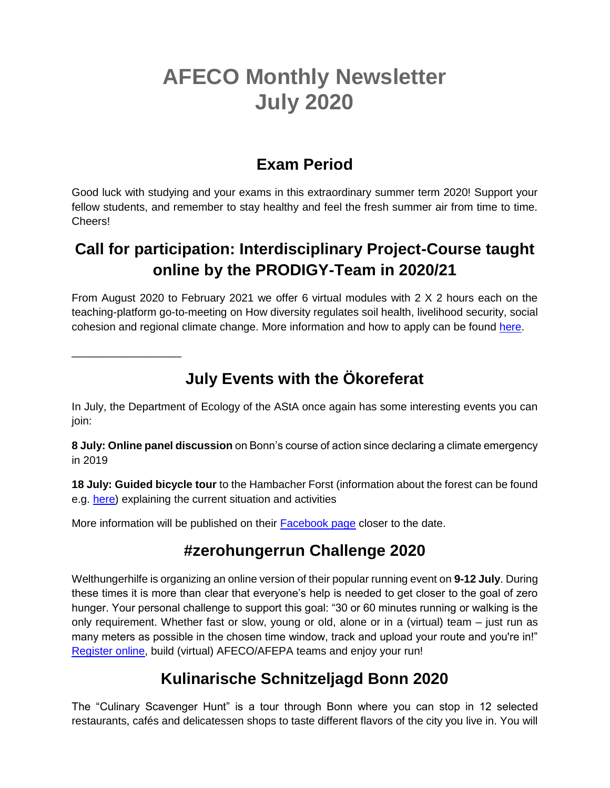# **AFECO Monthly Newsletter July 2020**

#### **Exam Period**

Good luck with studying and your exams in this extraordinary summer term 2020! Support your fellow students, and remember to stay healthy and feel the fresh summer air from time to time. Cheers!

### **Call for participation: Interdisciplinary Project-Course taught online by the PRODIGY-Team in 2020/21**

From August 2020 to February 2021 we offer 6 virtual modules with 2 X 2 hours each on the teaching-platform go-to-meeting on How diversity regulates soil health, livelihood security, social cohesion and regional climate change. More information and how to apply can be found [here.](https://prodigy-biotip.org/call-for-participation-interdisciplinary-project-course-taught-online-by-the-prodigy-team-in-2020-21/)

\_\_\_\_\_\_\_\_\_\_\_\_\_\_\_\_\_\_

## **July Events with the Ökoreferat**

In July, the Department of Ecology of the AStA once again has some interesting events you can join:

**8 July: Online panel discussion** on Bonn's course of action since declaring a climate emergency in 2019

**18 July: Guided bicycle tour** to the Hambacher Forst (information about the forest can be found e.g. [here\)](https://hambacherforst.org/) explaining the current situation and activities

More information will be published on their **Facebook page** closer to the date.

### **#zerohungerrun Challenge 2020**

Welthungerhilfe is organizing an online version of their popular running event on **9-12 July**. During these times it is more than clear that everyone's help is needed to get closer to the goal of zero hunger. Your personal challenge to support this goal: "30 or 60 minutes running or walking is the only requirement. Whether fast or slow, young or old, alone or in a (virtual) team – just run as many meters as possible in the chosen time window, track and upload your route and you're in!" [Register online,](https://www.welthungerhilfe.org/landingpages-en/zerohungerrun-challenge-2020/) build (virtual) AFECO/AFEPA teams and enjoy your run!

### **Kulinarische Schnitzeljagd Bonn 2020**

The "Culinary Scavenger Hunt" is a tour through Bonn where you can stop in 12 selected restaurants, cafés and delicatessen shops to taste different flavors of the city you live in. You will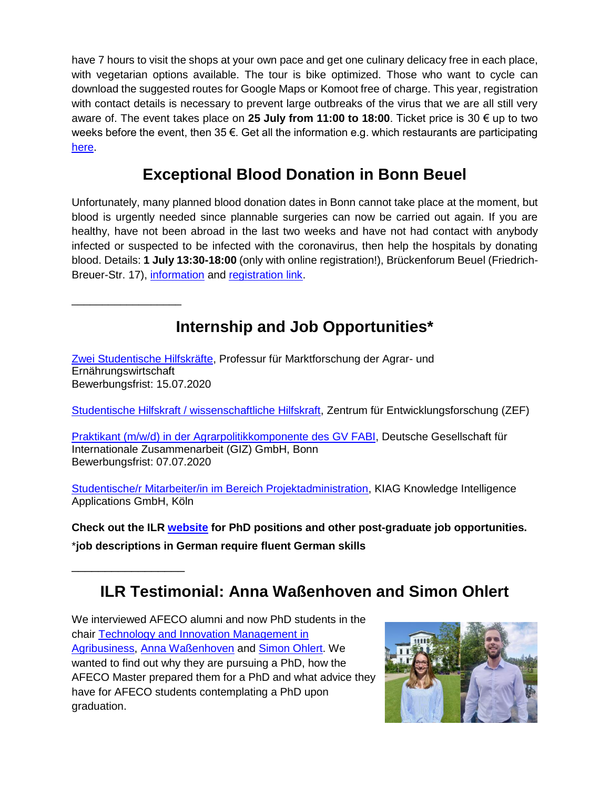have 7 hours to visit the shops at your own pace and get one culinary delicacy free in each place, with vegetarian options available. The tour is bike optimized. Those who want to cycle can download the suggested routes for Google Maps or Komoot free of charge. This year, registration with contact details is necessary to prevent large outbreaks of the virus that we are all still very aware of. The event takes place on **25 July from 11:00 to 18:00**. Ticket price is 30 € up to two weeks before the event, then 35 €. Get all the information e.g. which restaurants are participating [here.](https://kulinarische-schnitzeljagd.de/bonn/)

#### **Exceptional Blood Donation in Bonn Beuel**

Unfortunately, many planned blood donation dates in Bonn cannot take place at the moment, but blood is urgently needed since plannable surgeries can now be carried out again. If you are healthy, have not been abroad in the last two weeks and have not had contact with anybody infected or suspected to be infected with the coronavirus, then help the hospitals by donating blood. Details: **1 July 13:30-18:00** (only with online registration!), Brückenforum Beuel (Friedrich-Breuer-Str. 17), [information](https://www.facebook.com/events/678861676006984/) and [registration link.](https://terminreservierung.blutspendedienst-west.de/oeffentliche-spendeorte/40153100/termine?reservation_context=eyJkb25hdGlvbl90eXBlIjoiYmQiLCJkYXRlIjoiMjAyMC0wNy0wMSJ9)

### **Internship and Job Opportunities\***

[Zwei Studentische Hilfskräfte,](https://www.ilr1.uni-bonn.de/de/jobs/Ausschreibung_0920-zwei_SHK-WHF2.pdf) Professur für Marktforschung der Agrar- und Ernährungswirtschaft Bewerbungsfrist: 15.07.2020

\_\_\_\_\_\_\_\_\_\_\_\_\_\_\_\_\_\_

\_\_\_\_\_\_\_\_\_\_\_\_\_\_\_\_\_

[Studentische Hilfskraft / wissenschaftliche Hilfskraft,](https://www.zef.de/fileadmin/webfiles/downloads/vacancies/stellenanzeige_shk-whk_sstark.pdf) Zentrum für Entwicklungsforschung (ZEF)

[Praktikant \(m/w/d\) in der Agrarpolitikkomponente des GV FABI,](https://jobs.giz.de/index.php?ac=jobad&id=50230) Deutsche Gesellschaft für Internationale Zusammenarbeit (GIZ) GmbH, Bonn Bewerbungsfrist: 07.07.2020

[Studentische/r Mitarbeiter/in im Bereich Projektadministration,](https://www.ilr1.uni-bonn.de/de/jobs/2020-06-18-stellenausschreibung-projektadmin-1.0-r.pdf) KIAG Knowledge Intelligence Applications GmbH, Köln

**Check out the ILR [website](https://www.ilr1.uni-bonn.de/de/jobs/stellenanzeigen) for PhD positions and other post-graduate job opportunities.** \***job descriptions in German require fluent German skills**

**ILR Testimonial: Anna Waßenhoven and Simon Ohlert**

We interviewed AFECO alumni and now PhD students in the chair [Technology and Innovation Management in](https://www.ilr1.uni-bonn.de/en/rg/tim?set_language=en)  [Agribusiness,](https://www.ilr1.uni-bonn.de/en/rg/tim?set_language=en) [Anna Waßenhoven](https://www.ilr1.uni-bonn.de/en/rg/tim/staff/research-assistants/anna-wassenhoven) and [Simon Ohlert.](https://www.ilr1.uni-bonn.de/en/rg/tim/staff/research-assistants/simon-ohlert) We wanted to find out why they are pursuing a PhD, how the AFECO Master prepared them for a PhD and what advice they have for AFECO students contemplating a PhD upon graduation.